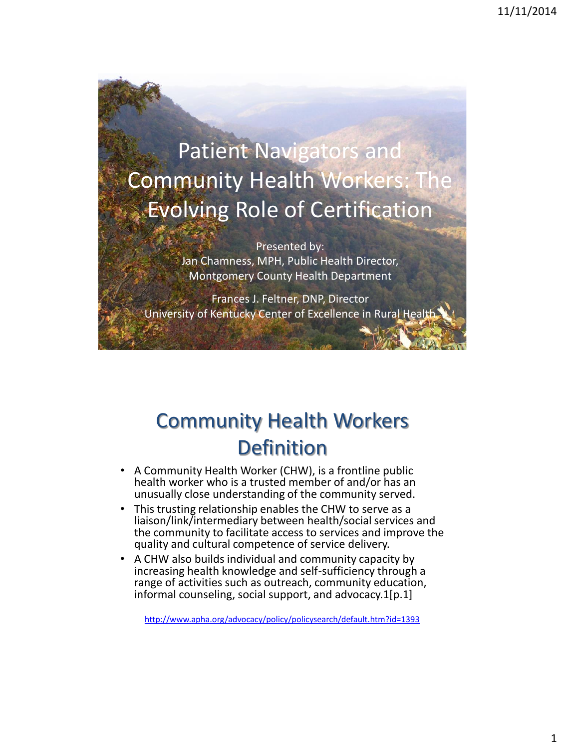Patient Navigators and **Community Health Workers:** Evolving Role of Certification

> Presented by: Jan Chamness, MPH, Public Health Director, Montgomery County Health Department

Frances J. Feltner, DNP, Director University of Kentucky Center of Excellence in Rural Health

## Community Health Workers **Definition**

- A Community Health Worker (CHW), is a frontline public health worker who is a trusted member of and/or has an unusually close understanding of the community served.
- This trusting relationship enables the CHW to serve as a liaison/link/intermediary between health/social services and the community to facilitate access to services and improve the quality and cultural competence of service delivery.
- A CHW also builds individual and community capacity by increasing health knowledge and self-sufficiency through a range of activities such as outreach, community education, informal counseling, social support, and advocacy.1[p.1]

<http://www.apha.org/advocacy/policy/policysearch/default.htm?id=1393>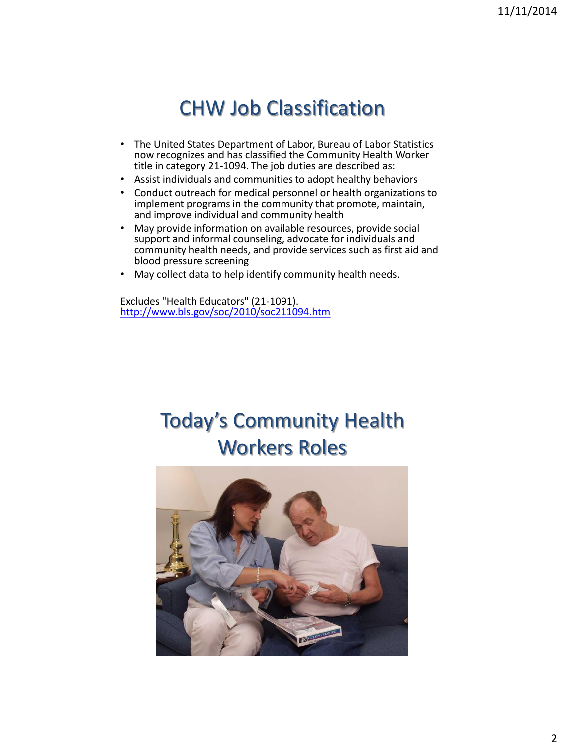## CHW Job Classification

- The United States Department of Labor, Bureau of Labor Statistics now recognizes and has classified the Community Health Worker title in category 21-1094. The job duties are described as:
- Assist individuals and communities to adopt healthy behaviors
- Conduct outreach for medical personnel or health organizations to implement programs in the community that promote, maintain, and improve individual and community health
- May provide information on available resources, provide social support and informal counseling, advocate for individuals and community health needs, and provide services such as first aid and blood pressure screening
- May collect data to help identify community health needs.

Excludes "Health Educators" (21-1091). <http://www.bls.gov/soc/2010/soc211094.htm>

## Today's Community Health Workers Roles

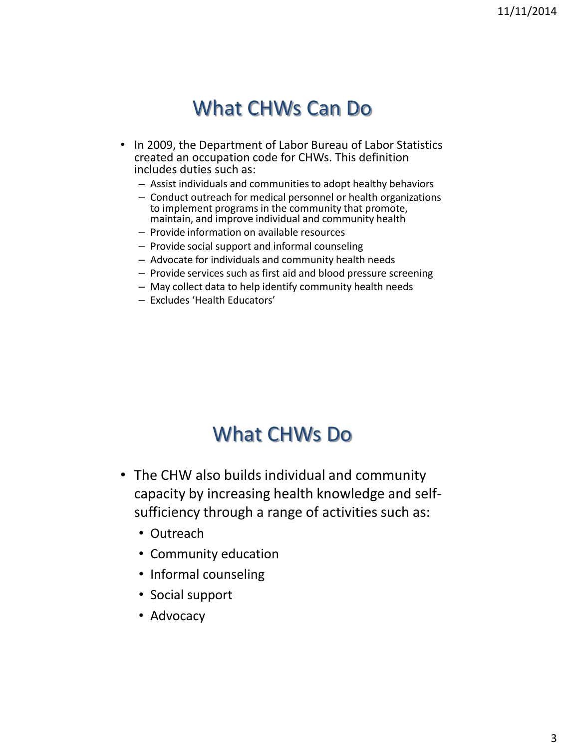### What CHWs Can Do

- In 2009, the Department of Labor Bureau of Labor Statistics created an occupation code for CHWs. This definition includes duties such as:
	- Assist individuals and communities to adopt healthy behaviors
	- Conduct outreach for medical personnel or health organizations to implement programs in the community that promote, maintain, and improve individual and community health
	- Provide information on available resources
	- Provide social support and informal counseling
	- Advocate for individuals and community health needs
	- Provide services such as first aid and blood pressure screening
	- May collect data to help identify community health needs
	- Excludes 'Health Educators'

### What CHWs Do

- The CHW also builds individual and community capacity by increasing health knowledge and selfsufficiency through a range of activities such as:
	- Outreach
	- Community education
	- Informal counseling
	- Social support
	- Advocacy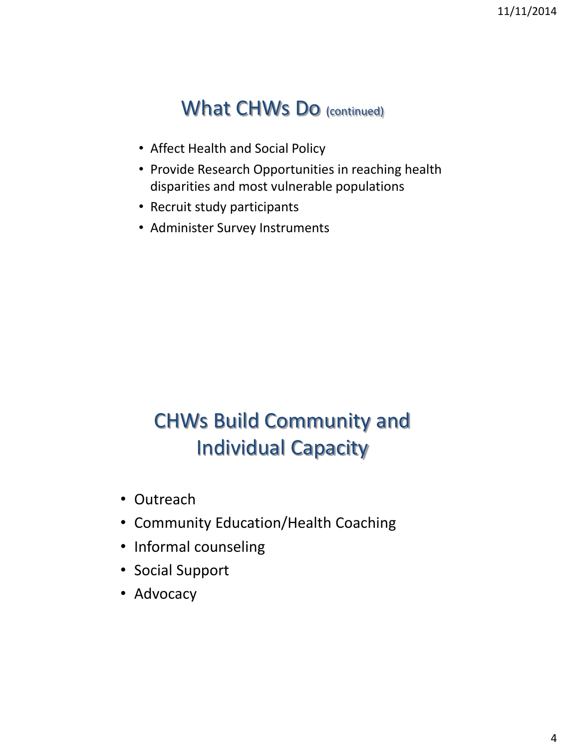### What CHWs Do (continued)

- Affect Health and Social Policy
- Provide Research Opportunities in reaching health disparities and most vulnerable populations
- Recruit study participants
- Administer Survey Instruments

# CHWs Build Community and Individual Capacity

- Outreach
- Community Education/Health Coaching
- Informal counseling
- Social Support
- Advocacy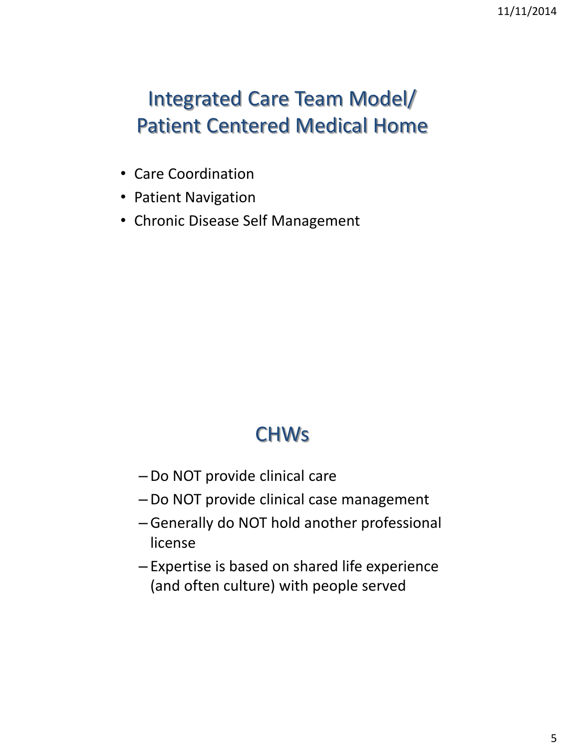# Integrated Care Team Model/ Patient Centered Medical Home

- Care Coordination
- Patient Navigation
- Chronic Disease Self Management

## **CHWs**

- –Do NOT provide clinical care
- –Do NOT provide clinical case management
- –Generally do NOT hold another professional license
- Expertise is based on shared life experience (and often culture) with people served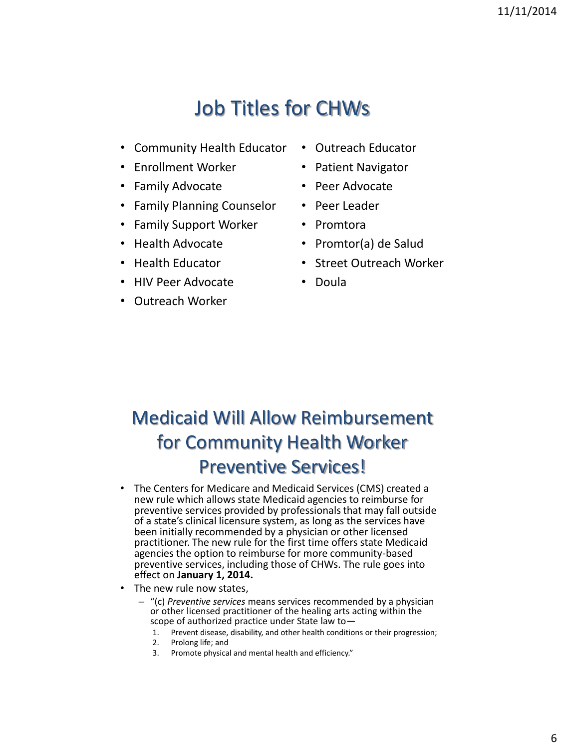## Job Titles for CHWs

- Community Health Educator
- Enrollment Worker
- Family Advocate
- Family Planning Counselor
- Family Support Worker
- Health Advocate
- Health Educator
- HIV Peer Advocate
- Outreach Worker
- Outreach Educator
- Patient Navigator
- Peer Advocate
- Peer Leader
- Promtora
- Promtor(a) de Salud
- Street Outreach Worker
- Doula

### Medicaid Will Allow Reimbursement for Community Health Worker Preventive Services!

- The Centers for Medicare and Medicaid Services (CMS) created a new rule which allows state Medicaid agencies to reimburse for preventive services provided by professionals that may fall outside of a state's clinical licensure system, as long as the services have been initially recommended by a physician or other licensed practitioner. The new rule for the first time offers state Medicaid agencies the option to reimburse for more community-based preventive services, including those of CHWs. The rule goes into effect on **January 1, 2014.**
- The new rule now states,
	- "(c) *Preventive services* means services recommended by a physician or other licensed practitioner of the healing arts acting within the scope of authorized practice under State law to—
		- 1. Prevent disease, disability, and other health conditions or their progression;
		- 2. Prolong life; and
		- 3. Promote physical and mental health and efficiency."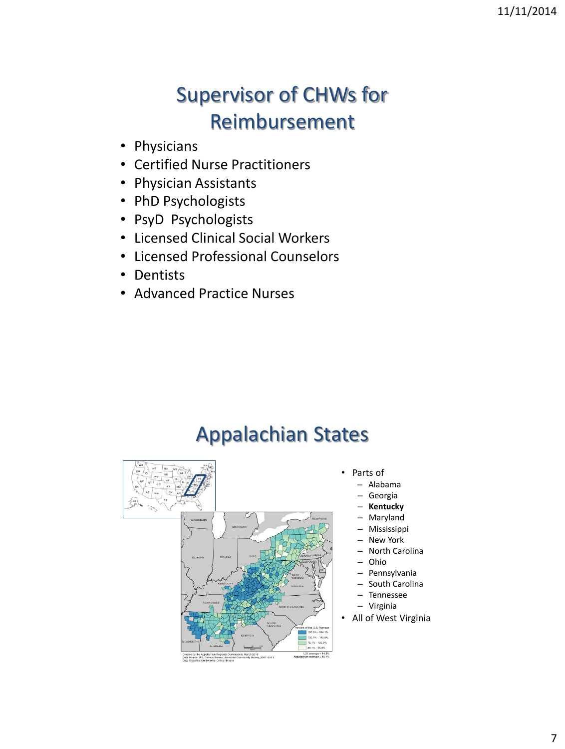# Supervisor of CHWs for Reimbursement

- Physicians
- Certified Nurse Practitioners
- Physician Assistants
- PhD Psychologists
- PsyD Psychologists
- Licensed Clinical Social Workers
- Licensed Professional Counselors
- Dentists
- Advanced Practice Nurses

## Appalachian States

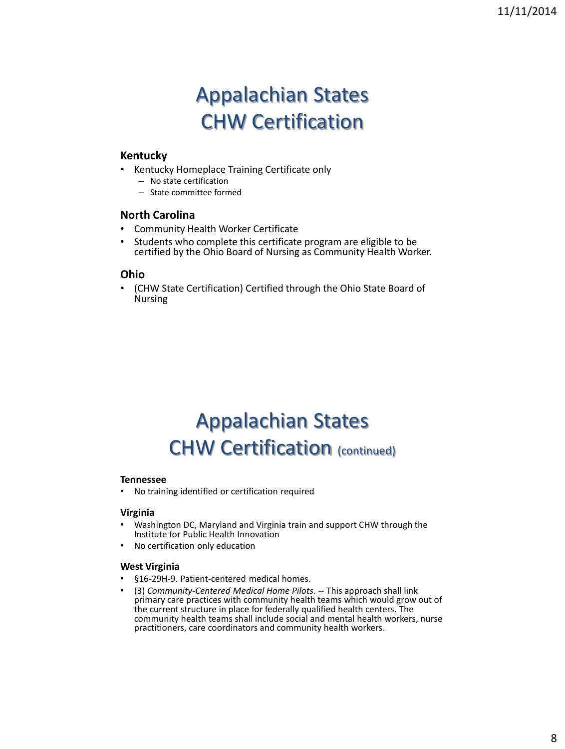## Appalachian States CHW Certification

#### **Kentucky**

- Kentucky Homeplace Training Certificate only
	- No state certification
	- State committee formed

#### **North Carolina**

- Community Health Worker Certificate
- Students who complete this certificate program are eligible to be certified by the Ohio Board of Nursing as Community Health Worker.

#### **Ohio**

• (CHW State Certification) Certified through the Ohio State Board of Nursing

## Appalachian States CHW Certification (continued)

#### **Tennessee**

• No training identified or certification required

#### **Virginia**

- Washington DC, Maryland and Virginia train and support CHW through the Institute for Public Health Innovation
- No certification only education

#### **West Virginia**

- §16-29H-9. Patient-centered medical homes.
- (3) *Community-Centered Medical Home Pilots*. -- This approach shall link primary care practices with community health teams which would grow out of the current structure in place for federally qualified health centers. The community health teams shall include social and mental health workers, nurse practitioners, care coordinators and community health workers.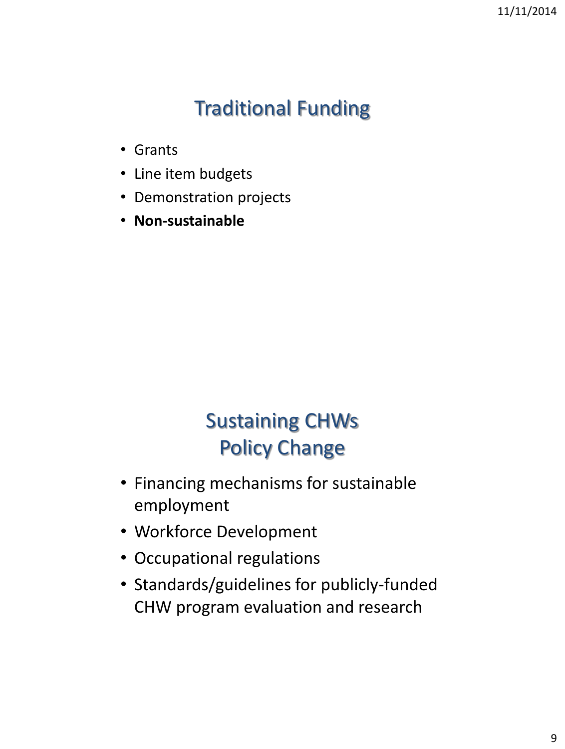# Traditional Funding

- Grants
- Line item budgets
- Demonstration projects
- **Non-sustainable**

# Sustaining CHWs Policy Change

- Financing mechanisms for sustainable employment
- Workforce Development
- Occupational regulations
- Standards/guidelines for publicly-funded CHW program evaluation and research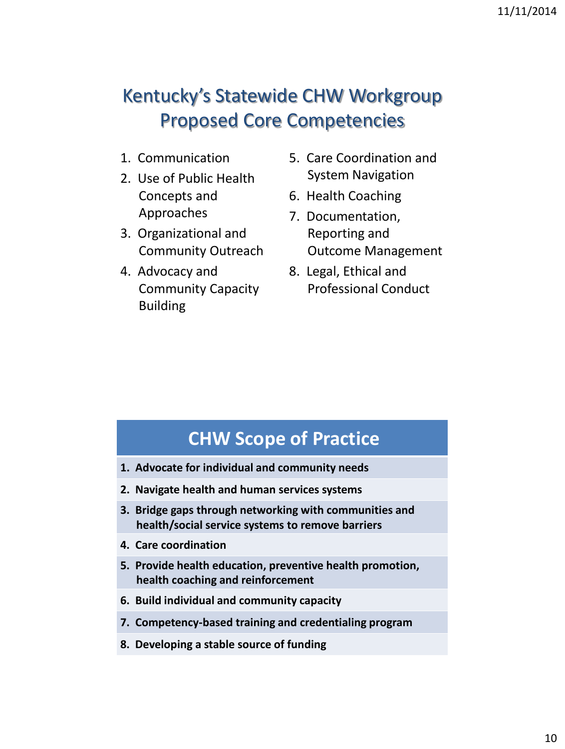### Kentucky's Statewide CHW Workgroup Proposed Core Competencies

- 1. Communication
- 2. Use of Public Health Concepts and Approaches
- 3. Organizational and Community Outreach
- 4. Advocacy and Community Capacity Building
- 5. Care Coordination and System Navigation
- 6. Health Coaching
- 7. Documentation, Reporting and Outcome Management
- 8. Legal, Ethical and Professional Conduct

### **CHW Scope of Practice**

- **1. Advocate for individual and community needs**
- **2. Navigate health and human services systems**
- **3. Bridge gaps through networking with communities and health/social service systems to remove barriers**
- **4. Care coordination**
- **5. Provide health education, preventive health promotion, health coaching and reinforcement**
- **6. Build individual and community capacity**
- **7. Competency-based training and credentialing program**
- **8. Developing a stable source of funding**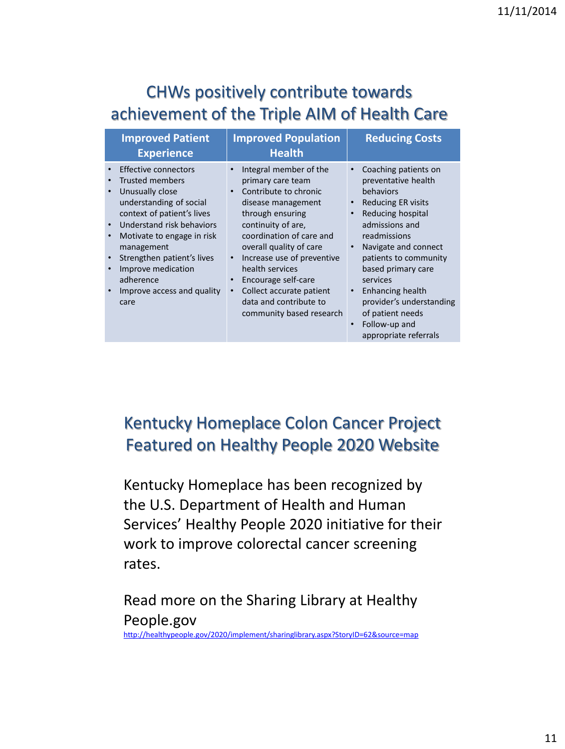### CHWs positively contribute towards achievement of the Triple AIM of Health Care

| <b>Improved Patient</b><br><b>Experience</b>                                                                                                                                                                                                                                                                                                                          | <b>Improved Population</b><br><b>Health</b>                                                                                                                                                                                                                                                                                                           | <b>Reducing Costs</b>                                                                                                                                                                                                                                                                                                                                                                                                       |
|-----------------------------------------------------------------------------------------------------------------------------------------------------------------------------------------------------------------------------------------------------------------------------------------------------------------------------------------------------------------------|-------------------------------------------------------------------------------------------------------------------------------------------------------------------------------------------------------------------------------------------------------------------------------------------------------------------------------------------------------|-----------------------------------------------------------------------------------------------------------------------------------------------------------------------------------------------------------------------------------------------------------------------------------------------------------------------------------------------------------------------------------------------------------------------------|
| <b>Effective connectors</b><br><b>Trusted members</b><br>Unusually close<br>$\bullet$<br>understanding of social<br>context of patient's lives<br>Understand risk behaviors<br>$\bullet$<br>Motivate to engage in risk<br>$\bullet$<br>management<br>Strengthen patient's lives<br>$\bullet$<br>Improve medication<br>adherence<br>Improve access and quality<br>care | Integral member of the<br>primary care team<br>Contribute to chronic<br>disease management<br>through ensuring<br>continuity of are,<br>coordination of care and<br>overall quality of care<br>Increase use of preventive<br>health services<br>Encourage self-care<br>Collect accurate patient<br>data and contribute to<br>community based research | Coaching patients on<br>$\bullet$<br>preventative health<br>behaviors<br><b>Reducing ER visits</b><br>$\bullet$<br>Reducing hospital<br>$\bullet$<br>admissions and<br>readmissions<br>Navigate and connect<br>$\bullet$<br>patients to community<br>based primary care<br>services<br>Enhancing health<br>$\bullet$<br>provider's understanding<br>of patient needs<br>Follow-up and<br>$\bullet$<br>appropriate referrals |
|                                                                                                                                                                                                                                                                                                                                                                       |                                                                                                                                                                                                                                                                                                                                                       |                                                                                                                                                                                                                                                                                                                                                                                                                             |

### Kentucky Homeplace Colon Cancer Project Featured on Healthy People 2020 Website

Kentucky Homeplace has been recognized by the U.S. Department of Health and Human Services' Healthy People 2020 initiative for their work to improve colorectal cancer screening rates.

Read more on the Sharing Library at Healthy People.gov <http://healthypeople.gov/2020/implement/sharinglibrary.aspx?StoryID=62&source=map>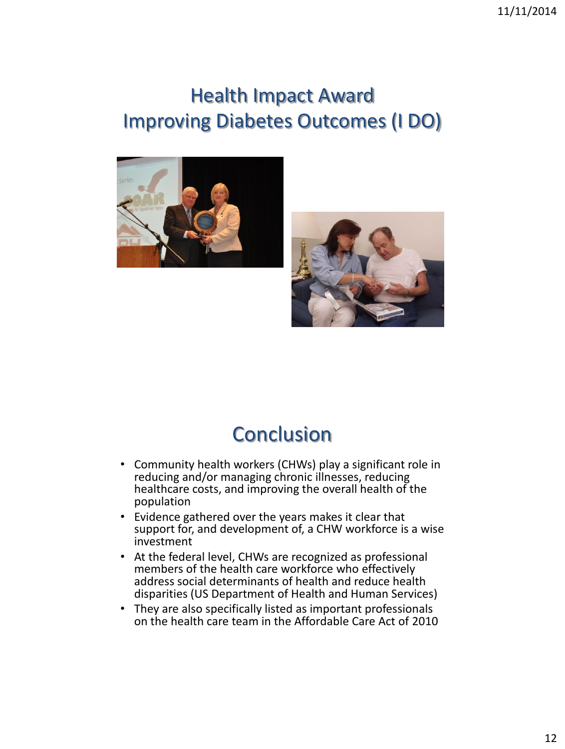## Health Impact Award Improving Diabetes Outcomes (I DO)





## **Conclusion**

- Community health workers (CHWs) play a significant role in reducing and/or managing chronic illnesses, reducing healthcare costs, and improving the overall health of the population
- Evidence gathered over the years makes it clear that support for, and development of, a CHW workforce is a wise investment
- At the federal level, CHWs are recognized as professional members of the health care workforce who effectively address social determinants of health and reduce health disparities (US Department of Health and Human Services)
- They are also specifically listed as important professionals on the health care team in the Affordable Care Act of 2010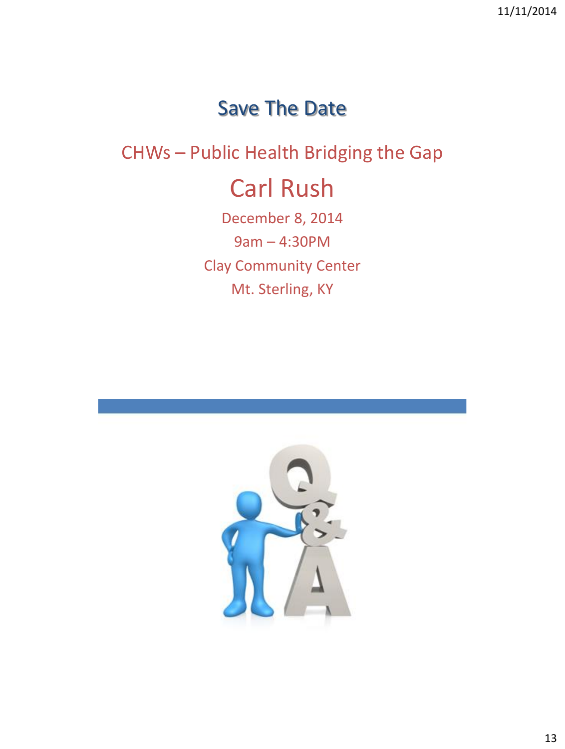### Save The Date

### CHWs – Public Health Bridging the Gap

# Carl Rush

December 8, 2014 9am – 4:30PM Clay Community Center Mt. Sterling, KY

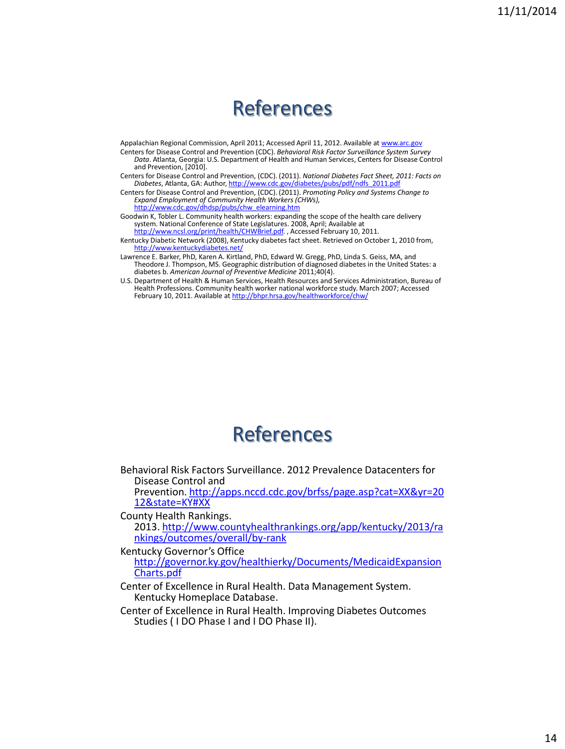### References

Appalachian Regional Commission, April 2011; Accessed April 11, 2012. Available at [www.arc.gov](http://www.arc.gov/)

Centers for Disease Control and Prevention (CDC). *Behavioral Risk Factor Surveillance System Survey Data*. Atlanta, Georgia: U.S. Department of Health and Human Services, Centers for Disease Control and Prevention, [2010].

Centers for Disease Control and Prevention, (CDC). (2011). *National Diabetes Fact Sheet, 2011: Facts on*  Diabetes, Atlanta, GA: Author, http://www.cd

Centers for Disease Control and Prevention, (CDC). (2011). *Promoting Policy and Systems Change to Expand Employment of Community Health Workers (CHWs),*  [http://www.cdc.gov/dhdsp/pubs/chw\\_elearning.htm](http://www.cdc.gov/dhdsp/pubs/chw_elearning.htm)

Goodwin K, Tobler L. Community health workers: expanding the scope of the health care delivery system. National Conference of State Legislatures. 2008, April; Available at [http://www.ncsl.org/print/health/CHWBrief.pdf.](http://www.ncsl.org/print/health/CHWBrief.pdf) , Accessed February 10, 2011.

Kentucky Diabetic Network (2008), Kentucky diabetes fact sheet. Retrieved on October 1, 2010 from, <http://www.kentuckydiabetes.net/>

Lawrence E. Barker, PhD, Karen A. Kirtland, PhD, Edward W. Gregg, PhD, Linda S. Geiss, MA, and Theodore J. Thompson, MS. Geographic distribution of diagnosed diabetes in the United States: a diabetes b. *American Journal of Preventive Medicine* 2011;40(4).

U.S. Department of Health & Human Services, Health Resources and Services Administration, Bureau of Health Professions. Community health worker national workforce study. March 2007; Accessed February 10, 2011. Available at <http://bhpr.hrsa.gov/healthworkforce/chw/>

### References

Behavioral Risk Factors Surveillance. 2012 Prevalence Datacenters for Disease Control and

Prevention. [http://apps.nccd.cdc.gov/brfss/page.asp?cat=XX&yr=20](http://apps.nccd.cdc.gov/brfss/page.asp?cat=XX&yr=2012&state=KY) 12&state=KY#XX

County Health Rankings. 2013. [http://www.countyhealthrankings.org/app/kentucky/2013/ra](http://www.countyhealthrankings.org/app/kentucky/2013/rankings/outcomes/overall/by-rank) nkings/outcomes/overall/by-rank

Kentucky Governor's Office [http://governor.ky.gov/healthierky/Documents/MedicaidExpansion](http://governor.ky.gov/healthierky/Documents/MedicaidExpansionCharts.pdf) Charts.pdf

Center of Excellence in Rural Health. Data Management System. Kentucky Homeplace Database.

Center of Excellence in Rural Health. Improving Diabetes Outcomes Studies ( I DO Phase I and I DO Phase II).